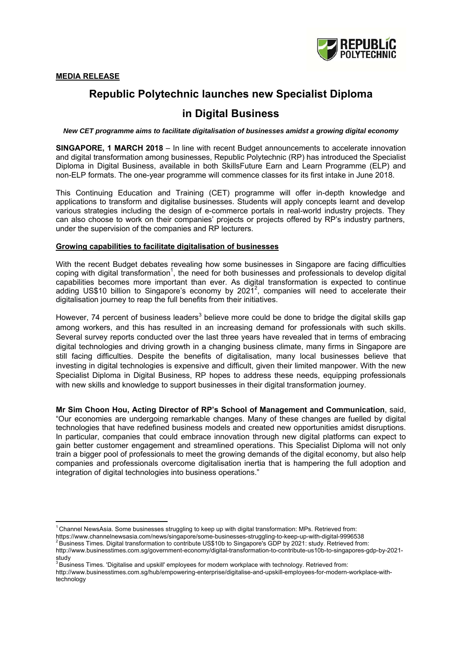

# **Republic Polytechnic launches new Specialist Diploma**

# **in Digital Business**

*New CET programme aims to facilitate digitalisation of businesses amidst a growing digital economy* 

**SINGAPORE, 1 MARCH 2018** – In line with recent Budget announcements to accelerate innovation and digital transformation among businesses, Republic Polytechnic (RP) has introduced the Specialist Diploma in Digital Business, available in both SkillsFuture Earn and Learn Programme (ELP) and non-ELP formats. The one-year programme will commence classes for its first intake in June 2018.

This Continuing Education and Training (CET) programme will offer in-depth knowledge and applications to transform and digitalise businesses. Students will apply concepts learnt and develop various strategies including the design of e-commerce portals in real-world industry projects. They can also choose to work on their companies' projects or projects offered by RP's industry partners, under the supervision of the companies and RP lecturers.

#### **Growing capabilities to facilitate digitalisation of businesses**

With the recent Budget debates revealing how some businesses in Singapore are facing difficulties coping with digital transformation<sup>1</sup>, the need for both businesses and professionals to develop digital capabilities becomes more important than ever. As digital transformation is expected to continue adding US\$10 billion to Singapore's economy by  $2021^2$ , companies will need to accelerate their digitalisation journey to reap the full benefits from their initiatives.

However, 74 percent of business leaders<sup>3</sup> believe more could be done to bridge the digital skills gap among workers, and this has resulted in an increasing demand for professionals with such skills. Several survey reports conducted over the last three years have revealed that in terms of embracing digital technologies and driving growth in a changing business climate, many firms in Singapore are still facing difficulties. Despite the benefits of digitalisation, many local businesses believe that investing in digital technologies is expensive and difficult, given their limited manpower. With the new Specialist Diploma in Digital Business, RP hopes to address these needs, equipping professionals with new skills and knowledge to support businesses in their digital transformation journey.

**Mr Sim Choon Hou, Acting Director of RP's School of Management and Communication**, said, "Our economies are undergoing remarkable changes. Many of these changes are fuelled by digital technologies that have redefined business models and created new opportunities amidst disruptions. In particular, companies that could embrace innovation through new digital platforms can expect to gain better customer engagement and streamlined operations. This Specialist Diploma will not only train a bigger pool of professionals to meet the growing demands of the digital economy, but also help companies and professionals overcome digitalisation inertia that is hampering the full adoption and integration of digital technologies into business operations."

https://www.channelnewsasia.com/news/singapore/some-businesses-struggling-to-keep-up-with-digital-9996538<br><sup>2</sup> Business Times. Digital transformation to contribute US\$10b to Singapore's GDP by 2021: study. Retrieved from:

http://www.businesstimes.com.sg/hub/empowering-enterprise/digitalise-and-upskill-employees-for-modern-workplace-withtechnology

<sup>1</sup> Channel NewsAsia. Some businesses struggling to keep up with digital transformation: MPs. Retrieved from:

http://www.businesstimes.com.sg/government-economy/digital-transformation-to-contribute-us10b-to-singapores-gdp-by-2021 study<br><sup>3</sup> Business Times. 'Digitalise and upskill' employees for modern workplace with technology. Retrieved from: